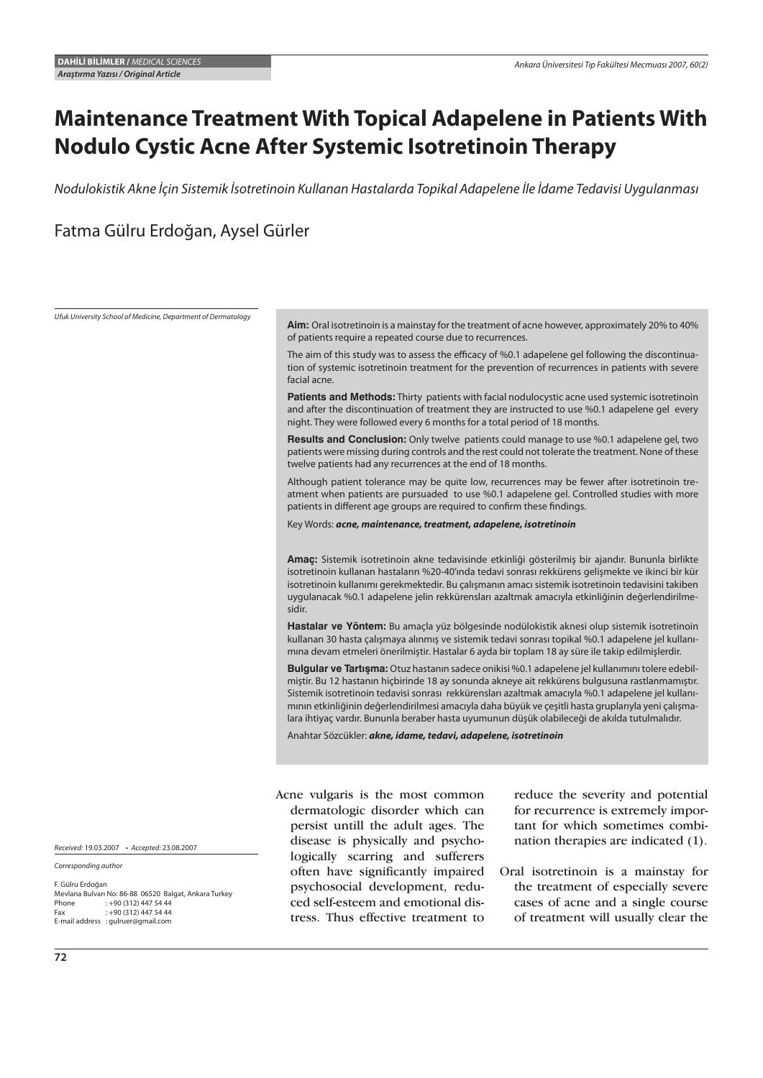# **Maintenance Treatment With Topical Adapelene in Patients With Nodulo Cystic Acne After Systemic Isotretinoin Therapy**

Nodulokistik Akne İçin Sistemik İsotretinoin Kullanan Hastalarda Topikal Adapelene İle İdame Tedavisi Uygulanması

Fatma Gülru Erdoğan, Aysel Gürler

Ufuk University School of Medicine, Department of Dermatology

**Aim:** Oral isotretinoin is a mainstay for the treatment of acne however, approximately 20% to 40% of patients require a repeated course due to recurrences.

The aim of this study was to assess the efficacy of %0.1 adapelene gel following the discontinuation of systemic isotretinoin treatment for the prevention of recurrences in patients with severe facial acne.

**Patients and Methods:** Thirty patients with facial nodulocystic acne used systemic isotretinoin and after the discontinuation of treatment they are instructed to use %0.1 adapelene gel every night. They were followed every 6 months for a total period of 18 months.

**Results and Conclusion:** Only twelve patients could manage to use %0.1 adapelene gel, two patients were missing during controls and the rest could not tolerate the treatment. None of these twelve patients had any recurrences at the end of 18 months.

Although patient tolerance may be quite low, recurrences may be fewer after isotretinoin treatment when patients are pursuaded to use %0.1 adapelene gel. Controlled studies with more patients in different age groups are required to confirm these findings.

Key Words: *acne, maintenance, treatment, adapelene, isotretinoin*

**Amaç:** Sistemik isotretinoin akne tedavisinde etkinliği gösterilmiş bir ajandır. Bununla birlikte isotretinoin kullanan hastaların %20-40'ında tedavi sonrası rekkürens gelişmekte ve ikinci bir kür isotretinoin kullanımı gerekmektedir. Bu çalışmanın amacı sistemik isotretinoin tedavisini takiben uygulanacak %0.1 adapelene jelin rekkürensları azaltmak amacıyla etkinliğinin değerlendirilmesidir.

**Hastalar ve Yöntem:** Bu amaçla yüz bölgesinde nodülokistik aknesi olup sistemik isotretinoin kullanan 30 hasta çalışmaya alınmış ve sistemik tedavi sonrası topikal %0.1 adapelene jel kullanımına devam etmeleri önerilmiştir. Hastalar 6 ayda bir toplam 18 ay süre ile takip edilmişlerdir.

Bulgular ve Tartışma: Otuz hastanın sadece onikisi %0.1 adapelene jel kullanımını tolere edebilmiştir. Bu 12 hastanın hiçbirinde 18 ay sonunda akneye ait rekkürens bulgusuna rastlanmamıştır. Sistemik isotretinoin tedavisi sonrası rekkürensları azaltmak amacıyla %0.1 adapelene jel kullanımının etkinliğinin değerlendirilmesi amacıyla daha büyük ve çeşitli hasta gruplarıyla yeni çalışmalara ihtiyaç vardır. Bununla beraber hasta uyumunun düşük olabileceği de akılda tutulmalıdır.

Anahtar Sözcükler: *akne, idame, tedavi, adapelene, isotretinoin*

Acne vulgaris is the most common dermatologic disorder which can persist untill the adult ages. The disease is physically and psychologically scarring and sufferers often have significantly impaired psychosocial development, reduced self-esteem and emotional distress. Thus effective treatment to

reduce the severity and potential for recurrence is extremely important for which sometimes combination therapies are indicated (1).

Oral isotretinoin is a mainstay for the treatment of especially severe cases of acne and a single course of treatment will usually clear the

Received: 19.03.2007 • Accepted: 23.08.2007

Corresponding author

F. Gülru Erdoğan Mevlana Bulvarı No: 86-88 06520 Balgat, Ankara Turkey Phone : +90 (312) 447 54 44  $: +90(312)4475444$ E-mail address : gulruer@gmail.com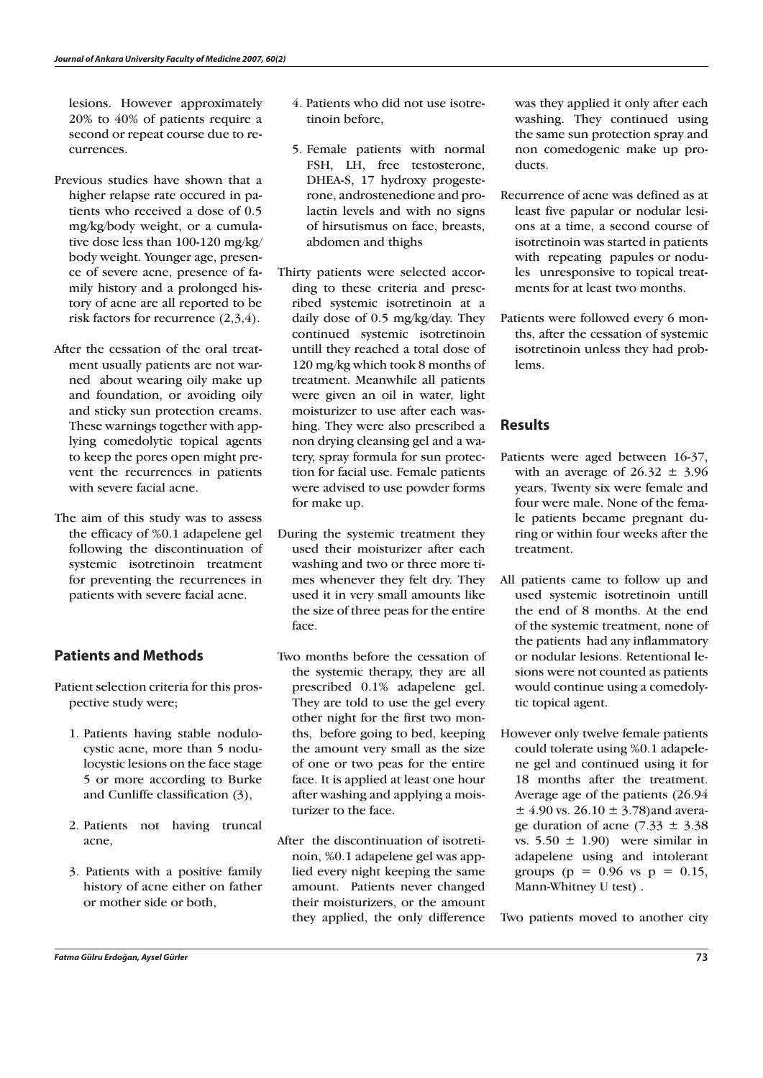lesions. However approximately 20% to 40% of patients require a second or repeat course due to recurrences.

- Previous studies have shown that a higher relapse rate occured in patients who received a dose of 0.5 mg/kg/body weight, or a cumulative dose less than 100-120 mg/kg/ body weight. Younger age, presence of severe acne, presence of family history and a prolonged history of acne are all reported to be risk factors for recurrence (2,3,4).
- After the cessation of the oral treatment usually patients are not warned about wearing oily make up and foundation, or avoiding oily and sticky sun protection creams. These warnings together with applying comedolytic topical agents to keep the pores open might prevent the recurrences in patients with severe facial acne.
- The aim of this study was to assess the efficacy of %0.1 adapelene gel following the discontinuation of systemic isotretinoin treatment for preventing the recurrences in patients with severe facial acne.

### **Patients and Methods**

- Patient selection criteria for this prospective study were;
	- 1. Patients having stable nodulocystic acne, more than 5 nodulocystic lesions on the face stage 5 or more according to Burke and Cunliffe classification (3),
	- 2. Patients not having truncal acne,
	- 3. Patients with a positive family history of acne either on father or mother side or both,
- 4. Patients who did not use isotretinoin before,
- 5. Female patients with normal FSH, LH, free testosterone, DHEA-S, 17 hydroxy progesterone, androstenedione and prolactin levels and with no signs of hirsutismus on face, breasts, abdomen and thighs
- Thirty patients were selected according to these criteria and prescribed systemic isotretinoin at a daily dose of 0.5 mg/kg/day. They continued systemic isotretinoin untill they reached a total dose of 120 mg/kg which took 8 months of treatment. Meanwhile all patients were given an oil in water, light moisturizer to use after each washing. They were also prescribed a non drying cleansing gel and a watery, spray formula for sun protection for facial use. Female patients were advised to use powder forms for make up.
- During the systemic treatment they used their moisturizer after each washing and two or three more times whenever they felt dry. They used it in very small amounts like the size of three peas for the entire face.
- Two months before the cessation of the systemic therapy, they are all prescribed 0.1% adapelene gel. They are told to use the gel every other night for the first two months, before going to bed, keeping the amount very small as the size of one or two peas for the entire face. It is applied at least one hour after washing and applying a moisturizer to the face.
- After the discontinuation of isotretinoin, %0.1 adapelene gel was applied every night keeping the same amount. Patients never changed their moisturizers, or the amount they applied, the only difference

was they applied it only after each washing. They continued using the same sun protection spray and non comedogenic make up products.

- Recurrence of acne was defined as at least five papular or nodular lesions at a time, a second course of isotretinoin was started in patients with repeating papules or nodules unresponsive to topical treatments for at least two months.
- Patients were followed every 6 months, after the cessation of systemic isotretinoin unless they had problems.

#### **Results**

- Patients were aged between 16-37, with an average of  $26.32 \pm 3.96$ years. Twenty six were female and four were male. None of the female patients became pregnant during or within four weeks after the treatment.
- All patients came to follow up and used systemic isotretinoin untill the end of 8 months. At the end of the systemic treatment, none of the patients had any inflammatory or nodular lesions. Retentional lesions were not counted as patients would continue using a comedolytic topical agent.
- However only twelve female patients could tolerate using %0.1 adapelene gel and continued using it for 18 months after the treatment. Average age of the patients (26.94  $\pm$  4.90 vs. 26.10  $\pm$  3.78) and average duration of acne  $(7.33 \pm 3.38)$ vs.  $5.50 \pm 1.90$  were similar in adapelene using and intolerant groups ( $p = 0.96$  vs  $p = 0.15$ , Mann-Whitney U test) .

Two patients moved to another city

*Fatma Gülru Erdoğan, Aysel Gürler* **73**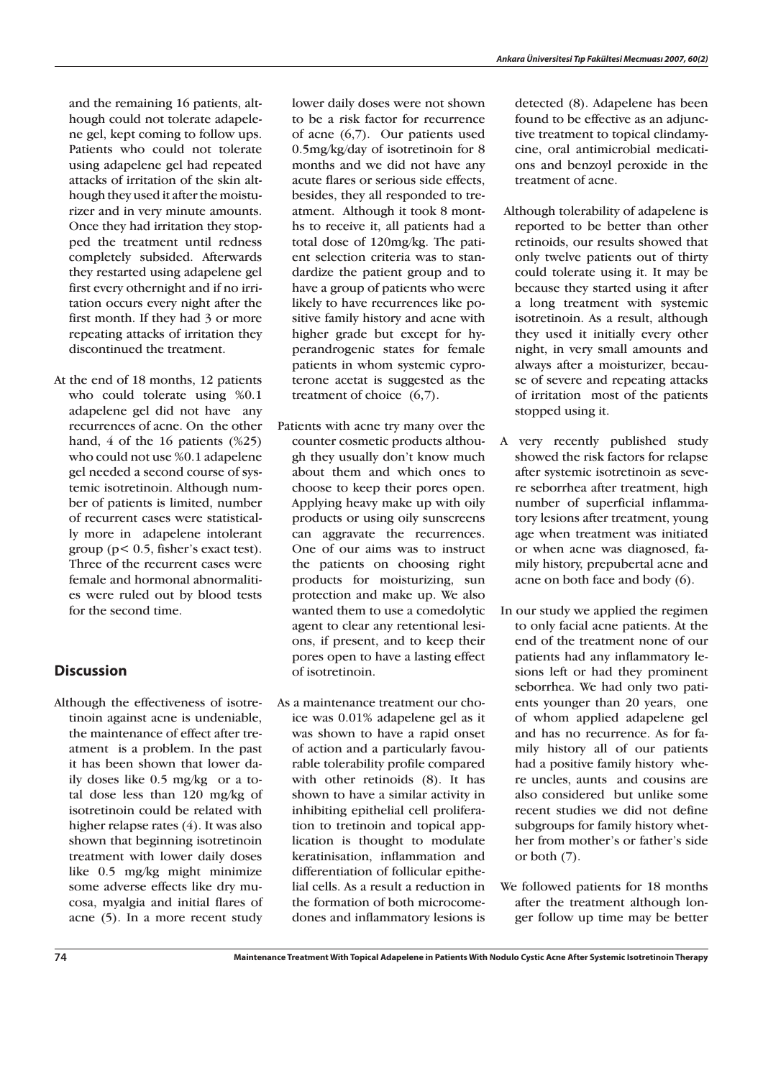and the remaining 16 patients, although could not tolerate adapelene gel, kept coming to follow ups. Patients who could not tolerate using adapelene gel had repeated attacks of irritation of the skin although they used it after the moisturizer and in very minute amounts. Once they had irritation they stopped the treatment until redness completely subsided. Afterwards they restarted using adapelene gel first every othernight and if no irritation occurs every night after the first month. If they had 3 or more repeating attacks of irritation they discontinued the treatment.

At the end of 18 months, 12 patients who could tolerate using %0.1 adapelene gel did not have any recurrences of acne. On the other hand, 4 of the 16 patients (%25) who could not use %0.1 adapelene gel needed a second course of systemic isotretinoin. Although number of patients is limited, number of recurrent cases were statistically more in adapelene intolerant group (p< 0.5, fisher's exact test). Three of the recurrent cases were female and hormonal abnormalities were ruled out by blood tests for the second time.

## **Discussion**

Although the effectiveness of isotretinoin against acne is undeniable, the maintenance of effect after treatment is a problem. In the past it has been shown that lower daily doses like 0.5 mg/kg or a total dose less than 120 mg/kg of isotretinoin could be related with higher relapse rates (4). It was also shown that beginning isotretinoin treatment with lower daily doses like 0.5 mg/kg might minimize some adverse effects like dry mucosa, myalgia and initial flares of acne (5). In a more recent study lower daily doses were not shown to be a risk factor for recurrence of acne (6,7). Our patients used 0.5mg/kg/day of isotretinoin for 8 months and we did not have any acute flares or serious side effects, besides, they all responded to treatment. Although it took 8 months to receive it, all patients had a total dose of 120mg/kg. The patient selection criteria was to standardize the patient group and to have a group of patients who were likely to have recurrences like positive family history and acne with higher grade but except for hyperandrogenic states for female patients in whom systemic cyproterone acetat is suggested as the treatment of choice (6,7).

- Patients with acne try many over the counter cosmetic products although they usually don't know much about them and which ones to choose to keep their pores open. Applying heavy make up with oily products or using oily sunscreens can aggravate the recurrences. One of our aims was to instruct the patients on choosing right products for moisturizing, sun protection and make up. We also wanted them to use a comedolytic agent to clear any retentional lesions, if present, and to keep their pores open to have a lasting effect of isotretinoin.
- As a maintenance treatment our choice was 0.01% adapelene gel as it was shown to have a rapid onset of action and a particularly favourable tolerability profile compared with other retinoids (8). It has shown to have a similar activity in inhibiting epithelial cell proliferation to tretinoin and topical application is thought to modulate keratinisation, inflammation and differentiation of follicular epithelial cells. As a result a reduction in the formation of both microcomedones and inflammatory lesions is

detected (8). Adapelene has been found to be effective as an adjunctive treatment to topical clindamycine, oral antimicrobial medications and benzoyl peroxide in the treatment of acne.

- Although tolerability of adapelene is reported to be better than other retinoids, our results showed that only twelve patients out of thirty could tolerate using it. It may be because they started using it after a long treatment with systemic isotretinoin. As a result, although they used it initially every other night, in very small amounts and always after a moisturizer, because of severe and repeating attacks of irritation most of the patients stopped using it.
- A very recently published study showed the risk factors for relapse after systemic isotretinoin as severe seborrhea after treatment, high number of superficial inflammatory lesions after treatment, young age when treatment was initiated or when acne was diagnosed, family history, prepubertal acne and acne on both face and body (6).
- In our study we applied the regimen to only facial acne patients. At the end of the treatment none of our patients had any inflammatory lesions left or had they prominent seborrhea. We had only two patients younger than 20 years, one of whom applied adapelene gel and has no recurrence. As for family history all of our patients had a positive family history where uncles, aunts and cousins are also considered but unlike some recent studies we did not define subgroups for family history whether from mother's or father's side or both (7).
- We followed patients for 18 months after the treatment although longer follow up time may be better